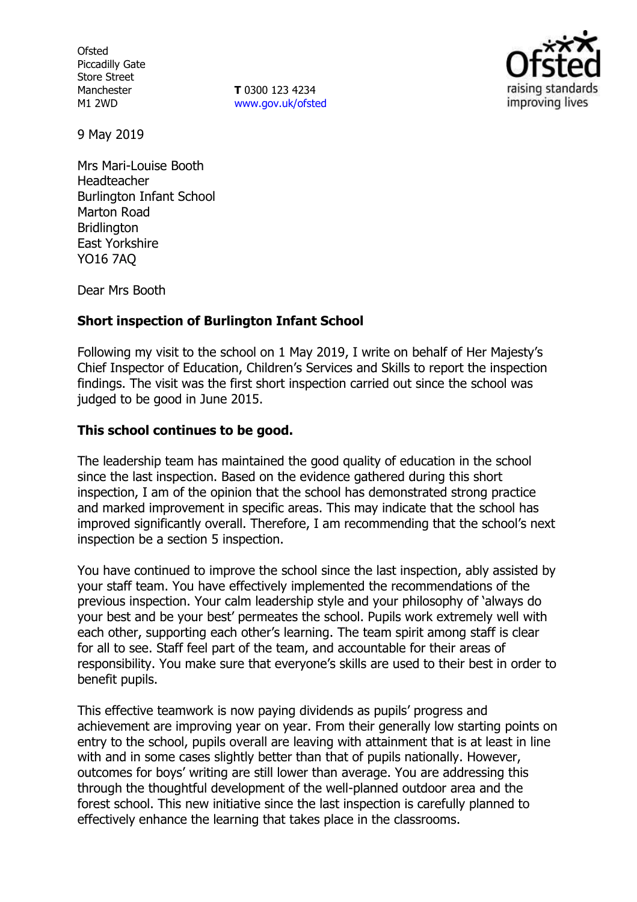**Ofsted** Piccadilly Gate Store Street Manchester M1 2WD

**T** 0300 123 4234 www.gov.uk/ofsted



9 May 2019

Mrs Mari-Louise Booth Headteacher Burlington Infant School Marton Road Bridlington East Yorkshire YO16 7AQ

Dear Mrs Booth

## **Short inspection of Burlington Infant School**

Following my visit to the school on 1 May 2019, I write on behalf of Her Majesty's Chief Inspector of Education, Children's Services and Skills to report the inspection findings. The visit was the first short inspection carried out since the school was judged to be good in June 2015.

## **This school continues to be good.**

The leadership team has maintained the good quality of education in the school since the last inspection. Based on the evidence gathered during this short inspection, I am of the opinion that the school has demonstrated strong practice and marked improvement in specific areas. This may indicate that the school has improved significantly overall. Therefore, I am recommending that the school's next inspection be a section 5 inspection.

You have continued to improve the school since the last inspection, ably assisted by your staff team. You have effectively implemented the recommendations of the previous inspection. Your calm leadership style and your philosophy of 'always do your best and be your best' permeates the school. Pupils work extremely well with each other, supporting each other's learning. The team spirit among staff is clear for all to see. Staff feel part of the team, and accountable for their areas of responsibility. You make sure that everyone's skills are used to their best in order to benefit pupils.

This effective teamwork is now paying dividends as pupils' progress and achievement are improving year on year. From their generally low starting points on entry to the school, pupils overall are leaving with attainment that is at least in line with and in some cases slightly better than that of pupils nationally. However, outcomes for boys' writing are still lower than average. You are addressing this through the thoughtful development of the well-planned outdoor area and the forest school. This new initiative since the last inspection is carefully planned to effectively enhance the learning that takes place in the classrooms.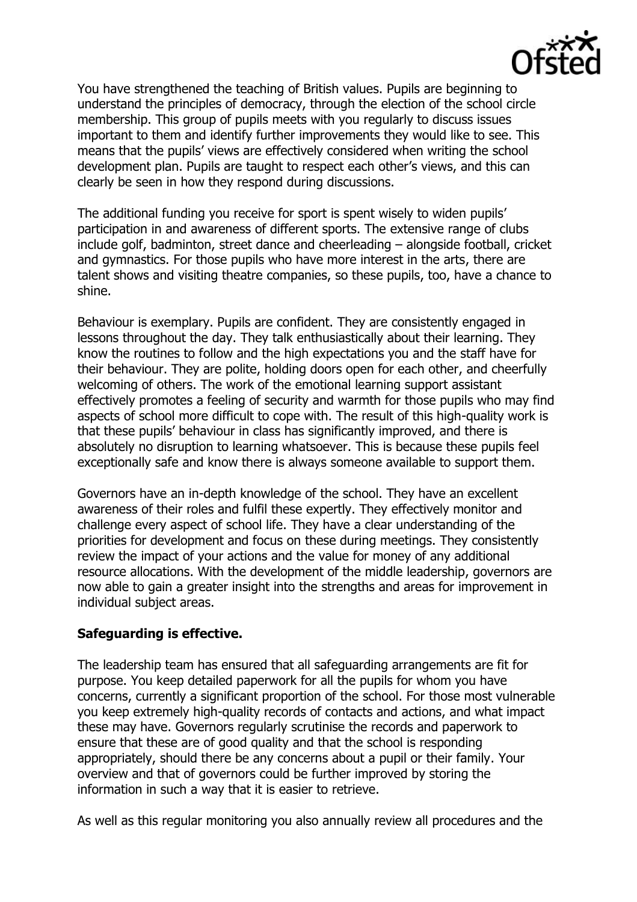

You have strengthened the teaching of British values. Pupils are beginning to understand the principles of democracy, through the election of the school circle membership. This group of pupils meets with you regularly to discuss issues important to them and identify further improvements they would like to see. This means that the pupils' views are effectively considered when writing the school development plan. Pupils are taught to respect each other's views, and this can clearly be seen in how they respond during discussions.

The additional funding you receive for sport is spent wisely to widen pupils' participation in and awareness of different sports. The extensive range of clubs include golf, badminton, street dance and cheerleading – alongside football, cricket and gymnastics. For those pupils who have more interest in the arts, there are talent shows and visiting theatre companies, so these pupils, too, have a chance to shine.

Behaviour is exemplary. Pupils are confident. They are consistently engaged in lessons throughout the day. They talk enthusiastically about their learning. They know the routines to follow and the high expectations you and the staff have for their behaviour. They are polite, holding doors open for each other, and cheerfully welcoming of others. The work of the emotional learning support assistant effectively promotes a feeling of security and warmth for those pupils who may find aspects of school more difficult to cope with. The result of this high-quality work is that these pupils' behaviour in class has significantly improved, and there is absolutely no disruption to learning whatsoever. This is because these pupils feel exceptionally safe and know there is always someone available to support them.

Governors have an in-depth knowledge of the school. They have an excellent awareness of their roles and fulfil these expertly. They effectively monitor and challenge every aspect of school life. They have a clear understanding of the priorities for development and focus on these during meetings. They consistently review the impact of your actions and the value for money of any additional resource allocations. With the development of the middle leadership, governors are now able to gain a greater insight into the strengths and areas for improvement in individual subject areas.

## **Safeguarding is effective.**

The leadership team has ensured that all safeguarding arrangements are fit for purpose. You keep detailed paperwork for all the pupils for whom you have concerns, currently a significant proportion of the school. For those most vulnerable you keep extremely high-quality records of contacts and actions, and what impact these may have. Governors regularly scrutinise the records and paperwork to ensure that these are of good quality and that the school is responding appropriately, should there be any concerns about a pupil or their family. Your overview and that of governors could be further improved by storing the information in such a way that it is easier to retrieve.

As well as this regular monitoring you also annually review all procedures and the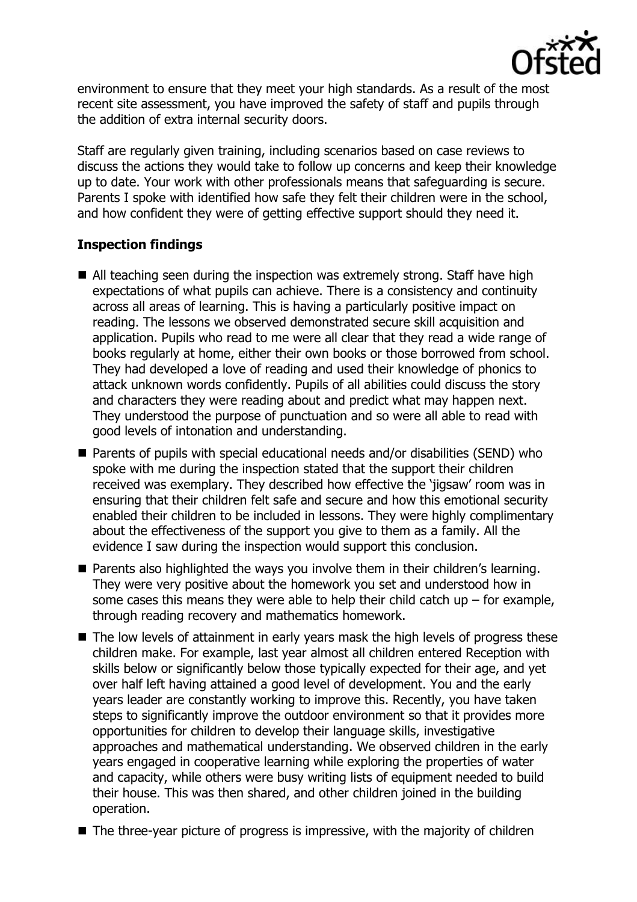

environment to ensure that they meet your high standards. As a result of the most recent site assessment, you have improved the safety of staff and pupils through the addition of extra internal security doors.

Staff are regularly given training, including scenarios based on case reviews to discuss the actions they would take to follow up concerns and keep their knowledge up to date. Your work with other professionals means that safeguarding is secure. Parents I spoke with identified how safe they felt their children were in the school, and how confident they were of getting effective support should they need it.

## **Inspection findings**

- All teaching seen during the inspection was extremely strong. Staff have high expectations of what pupils can achieve. There is a consistency and continuity across all areas of learning. This is having a particularly positive impact on reading. The lessons we observed demonstrated secure skill acquisition and application. Pupils who read to me were all clear that they read a wide range of books regularly at home, either their own books or those borrowed from school. They had developed a love of reading and used their knowledge of phonics to attack unknown words confidently. Pupils of all abilities could discuss the story and characters they were reading about and predict what may happen next. They understood the purpose of punctuation and so were all able to read with good levels of intonation and understanding.
- Parents of pupils with special educational needs and/or disabilities (SEND) who spoke with me during the inspection stated that the support their children received was exemplary. They described how effective the 'jigsaw' room was in ensuring that their children felt safe and secure and how this emotional security enabled their children to be included in lessons. They were highly complimentary about the effectiveness of the support you give to them as a family. All the evidence I saw during the inspection would support this conclusion.
- Parents also highlighted the ways you involve them in their children's learning. They were very positive about the homework you set and understood how in some cases this means they were able to help their child catch  $up$  – for example, through reading recovery and mathematics homework.
- The low levels of attainment in early years mask the high levels of progress these children make. For example, last year almost all children entered Reception with skills below or significantly below those typically expected for their age, and yet over half left having attained a good level of development. You and the early years leader are constantly working to improve this. Recently, you have taken steps to significantly improve the outdoor environment so that it provides more opportunities for children to develop their language skills, investigative approaches and mathematical understanding. We observed children in the early years engaged in cooperative learning while exploring the properties of water and capacity, while others were busy writing lists of equipment needed to build their house. This was then shared, and other children joined in the building operation.
- $\blacksquare$  The three-year picture of progress is impressive, with the majority of children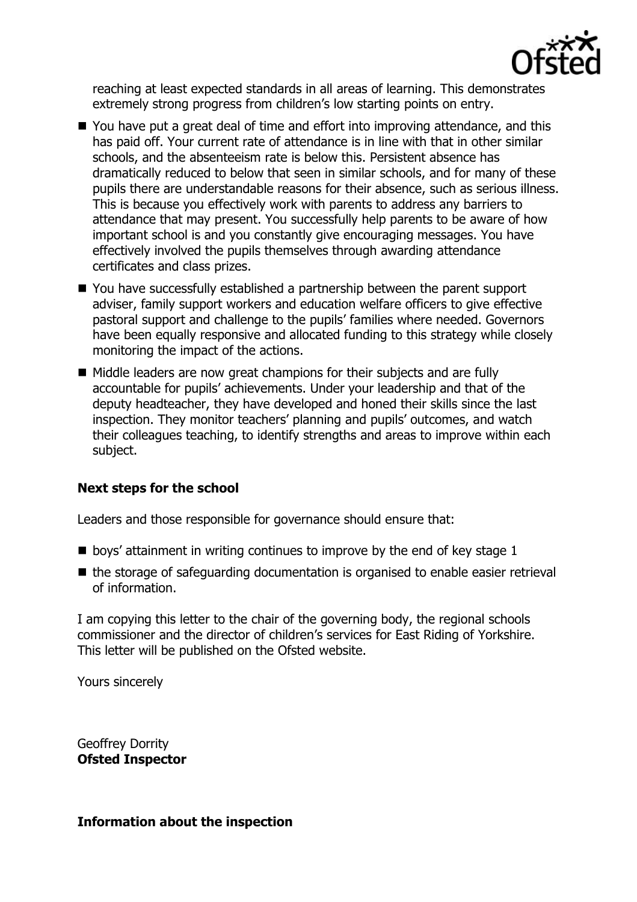

reaching at least expected standards in all areas of learning. This demonstrates extremely strong progress from children's low starting points on entry.

- You have put a great deal of time and effort into improving attendance, and this has paid off. Your current rate of attendance is in line with that in other similar schools, and the absenteeism rate is below this. Persistent absence has dramatically reduced to below that seen in similar schools, and for many of these pupils there are understandable reasons for their absence, such as serious illness. This is because you effectively work with parents to address any barriers to attendance that may present. You successfully help parents to be aware of how important school is and you constantly give encouraging messages. You have effectively involved the pupils themselves through awarding attendance certificates and class prizes.
- You have successfully established a partnership between the parent support adviser, family support workers and education welfare officers to give effective pastoral support and challenge to the pupils' families where needed. Governors have been equally responsive and allocated funding to this strategy while closely monitoring the impact of the actions.
- Middle leaders are now great champions for their subjects and are fully accountable for pupils' achievements. Under your leadership and that of the deputy headteacher, they have developed and honed their skills since the last inspection. They monitor teachers' planning and pupils' outcomes, and watch their colleagues teaching, to identify strengths and areas to improve within each subject.

# **Next steps for the school**

Leaders and those responsible for governance should ensure that:

- $\blacksquare$  boys' attainment in writing continues to improve by the end of key stage 1
- the storage of safeguarding documentation is organised to enable easier retrieval of information.

I am copying this letter to the chair of the governing body, the regional schools commissioner and the director of children's services for East Riding of Yorkshire. This letter will be published on the Ofsted website.

Yours sincerely

Geoffrey Dorrity **Ofsted Inspector**

## **Information about the inspection**